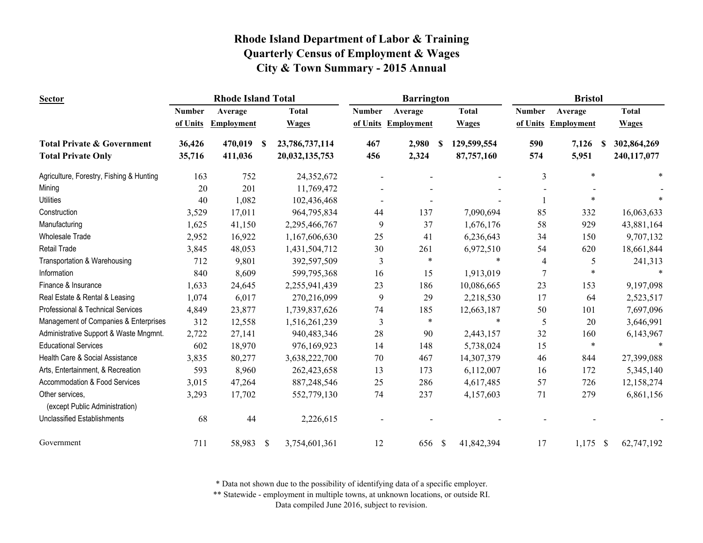| <b>Sector</b>                                     | <b>Rhode Island Total</b><br><b>Barrington</b> |                   |    |                | <b>Bristol</b> |                     |               |              |                |                     |              |
|---------------------------------------------------|------------------------------------------------|-------------------|----|----------------|----------------|---------------------|---------------|--------------|----------------|---------------------|--------------|
|                                                   | <b>Number</b>                                  | Average           |    | <b>Total</b>   | <b>Number</b>  | Average             |               | <b>Total</b> | <b>Number</b>  | Average             | <b>Total</b> |
|                                                   | of Units                                       | <b>Employment</b> |    | <b>Wages</b>   |                | of Units Employment |               | <b>Wages</b> |                | of Units Employment | <b>Wages</b> |
| <b>Total Private &amp; Government</b>             | 36,426                                         | 470,019           | -S | 23,786,737,114 | 467            | 2,980               | -S            | 129,599,554  | 590            | 7,126<br>S          | 302,864,269  |
| <b>Total Private Only</b>                         | 35,716                                         | 411,036           |    | 20,032,135,753 | 456            | 2,324               |               | 87,757,160   | 574            | 5,951               | 240,117,077  |
| Agriculture, Forestry, Fishing & Hunting          | 163                                            | 752               |    | 24,352,672     |                |                     |               |              | 3              | $\ast$              |              |
| Mining                                            | 20                                             | 201               |    | 11,769,472     |                |                     |               |              |                |                     |              |
| <b>Utilities</b>                                  | 40                                             | 1,082             |    | 102,436,468    |                |                     |               |              |                | $\ast$              |              |
| Construction                                      | 3,529                                          | 17,011            |    | 964,795,834    | 44             | 137                 |               | 7,090,694    | 85             | 332                 | 16,063,633   |
| Manufacturing                                     | 1,625                                          | 41,150            |    | 2,295,466,767  | 9              | 37                  |               | 1,676,176    | 58             | 929                 | 43,881,164   |
| <b>Wholesale Trade</b>                            | 2,952                                          | 16,922            |    | 1,167,606,630  | 25             | 41                  |               | 6,236,643    | 34             | 150                 | 9,707,132    |
| <b>Retail Trade</b>                               | 3,845                                          | 48,053            |    | 1,431,504,712  | 30             | 261                 |               | 6,972,510    | 54             | 620                 | 18,661,844   |
| Transportation & Warehousing                      | 712                                            | 9,801             |    | 392,597,509    | 3              | $\ast$              |               | $\ast$       | 4              | 5                   | 241,313      |
| Information                                       | 840                                            | 8,609             |    | 599,795,368    | 16             | 15                  |               | 1,913,019    | $\overline{7}$ |                     |              |
| Finance & Insurance                               | 1,633                                          | 24,645            |    | 2,255,941,439  | 23             | 186                 |               | 10,086,665   | 23             | 153                 | 9,197,098    |
| Real Estate & Rental & Leasing                    | 1,074                                          | 6,017             |    | 270,216,099    | 9              | 29                  |               | 2,218,530    | 17             | 64                  | 2,523,517    |
| Professional & Technical Services                 | 4,849                                          | 23,877            |    | 1,739,837,626  | 74             | 185                 |               | 12,663,187   | 50             | 101                 | 7,697,096    |
| Management of Companies & Enterprises             | 312                                            | 12,558            |    | 1,516,261,239  | 3              | $\ast$              |               | $\ast$       | 5              | 20                  | 3,646,991    |
| Administrative Support & Waste Mngmnt.            | 2,722                                          | 27,141            |    | 940,483,346    | 28             | 90                  |               | 2,443,157    | 32             | 160                 | 6,143,967    |
| <b>Educational Services</b>                       | 602                                            | 18,970            |    | 976,169,923    | 14             | 148                 |               | 5,738,024    | 15             | $\ast$              |              |
| Health Care & Social Assistance                   | 3,835                                          | 80,277            |    | 3,638,222,700  | 70             | 467                 |               | 14,307,379   | 46             | 844                 | 27,399,088   |
| Arts, Entertainment, & Recreation                 | 593                                            | 8,960             |    | 262,423,658    | 13             | 173                 |               | 6,112,007    | 16             | 172                 | 5,345,140    |
| Accommodation & Food Services                     | 3,015                                          | 47,264            |    | 887,248,546    | 25             | 286                 |               | 4,617,485    | 57             | 726                 | 12,158,274   |
| Other services.<br>(except Public Administration) | 3,293                                          | 17,702            |    | 552,779,130    | 74             | 237                 |               | 4,157,603    | 71             | 279                 | 6,861,156    |
| <b>Unclassified Establishments</b>                | 68                                             | 44                |    | 2,226,615      |                |                     |               |              |                |                     |              |
| Government                                        | 711                                            | 58,983            | \$ | 3,754,601,361  | 12             | 656                 | $\mathcal{S}$ | 41,842,394   | 17             | $1,175$ \$          | 62,747,192   |

\* Data not shown due to the possibility of identifying data of a specific employer.

\*\* Statewide - employment in multiple towns, at unknown locations, or outside RI.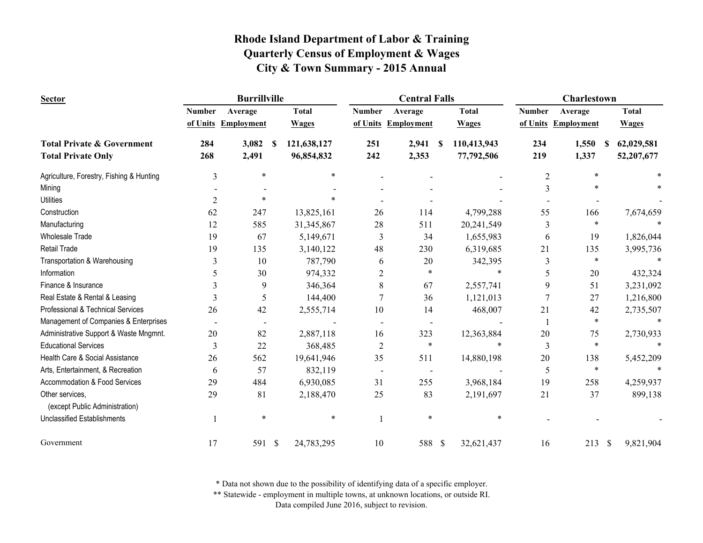| <b>Sector</b>                                     |                | <b>Burrillville</b> |                   |                          | <b>Central Falls</b>     |                     |                | <b>Charlestown</b>  |                            |
|---------------------------------------------------|----------------|---------------------|-------------------|--------------------------|--------------------------|---------------------|----------------|---------------------|----------------------------|
|                                                   | <b>Number</b>  | Average             | <b>Total</b>      | <b>Number</b>            | Average                  | <b>Total</b>        | <b>Number</b>  | Average             | <b>Total</b>               |
|                                                   |                | of Units Employment | <b>Wages</b>      |                          | of Units Employment      | <b>Wages</b>        |                | of Units Employment | <b>Wages</b>               |
| <b>Total Private &amp; Government</b>             | 284            | 3,082               | 121,638,127<br>-S | 251                      | 2,941                    | 110,413,943<br>- \$ | 234            | 1,550               | 62,029,581<br>-S           |
| <b>Total Private Only</b>                         | 268            | 2,491               | 96,854,832        | 242                      | 2,353                    | 77,792,506          | 219            | 1,337               | 52,207,677                 |
| Agriculture, Forestry, Fishing & Hunting          | 3              | $\ast$              |                   | *                        |                          |                     | $\overline{2}$ | $\ast$              |                            |
| Mining                                            |                |                     |                   |                          |                          |                     | 3              | $\ast$              |                            |
| <b>Utilities</b>                                  | $\overline{c}$ | $\ast$              |                   |                          |                          |                     |                |                     |                            |
| Construction                                      | 62             | 247                 | 13,825,161        | 26                       | 114                      | 4,799,288           | 55             | 166                 | 7,674,659                  |
| Manufacturing                                     | 12             | 585                 | 31,345,867        | 28                       | 511                      | 20,241,549          | 3              | $\ast$              |                            |
| <b>Wholesale Trade</b>                            | 19             | 67                  | 5,149,671         | 3                        | 34                       | 1,655,983           | 6              | 19                  | 1,826,044                  |
| <b>Retail Trade</b>                               | 19             | 135                 | 3,140,122         | 48                       | 230                      | 6,319,685           | 21             | 135                 | 3,995,736                  |
| Transportation & Warehousing                      | 3              | 10                  | 787,790           | 6                        | 20                       | 342,395             | 3              | $\ast$              |                            |
| Information                                       | 5              | 30                  | 974,332           | 2                        | *                        |                     | 5              | 20                  | 432,324                    |
| Finance & Insurance                               | 3              | 9                   | 346,364           | 8                        | 67                       | 2,557,741           | 9              | 51                  | 3,231,092                  |
| Real Estate & Rental & Leasing                    | 3              | 5                   | 144,400           | 7                        | 36                       | 1,121,013           | 7              | 27                  | 1,216,800                  |
| Professional & Technical Services                 | 26             | 42                  | 2,555,714         | 10                       | 14                       | 468,007             | 21             | 42                  | 2,735,507                  |
| Management of Companies & Enterprises             |                |                     |                   |                          |                          |                     |                | $\ast$              |                            |
| Administrative Support & Waste Mngmnt.            | 20             | 82                  | 2,887,118         | 16                       | 323                      | 12,363,884          | 20             | 75                  | 2,730,933                  |
| <b>Educational Services</b>                       | 3              | 22                  | 368,485           | $\overline{c}$           | $\ast$                   |                     | 3              | $\ast$              |                            |
| Health Care & Social Assistance                   | 26             | 562                 | 19,641,946        | 35                       | 511                      | 14,880,198          | 20             | 138                 | 5,452,209                  |
| Arts, Entertainment, & Recreation                 | 6              | 57                  | 832,119           | $\overline{\phantom{0}}$ | $\overline{\phantom{a}}$ |                     | 5              | $\ast$              |                            |
| <b>Accommodation &amp; Food Services</b>          | 29             | 484                 | 6,930,085         | 31                       | 255                      | 3,968,184           | 19             | 258                 | 4,259,937                  |
| Other services,<br>(except Public Administration) | 29             | 81                  | 2,188,470         | 25                       | 83                       | 2,191,697           | 21             | 37                  | 899,138                    |
| <b>Unclassified Establishments</b>                |                | $\ast$              |                   | $\ast$                   | $\ast$                   | $\ast$              |                |                     |                            |
| Government                                        | 17             | 591 \$              | 24,783,295        | 10                       | 588 \$                   | 32,621,437          | 16             | 213                 | $\mathcal{S}$<br>9,821,904 |

\* Data not shown due to the possibility of identifying data of a specific employer.

\*\* Statewide - employment in multiple towns, at unknown locations, or outside RI.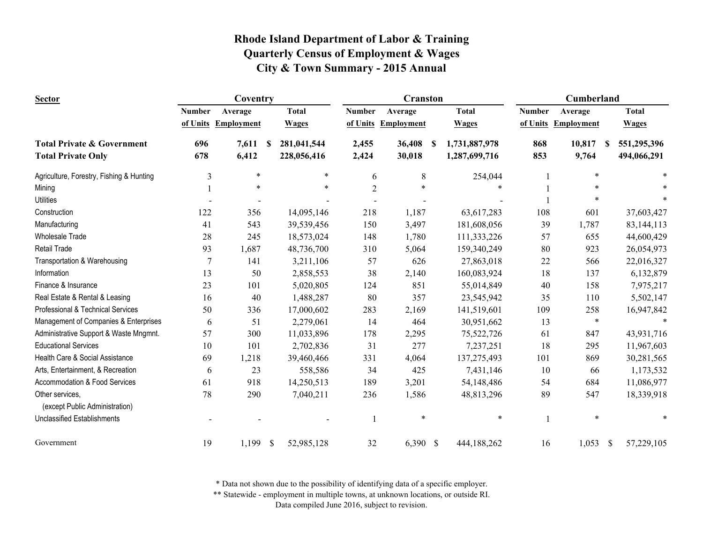| <b>Sector</b>                                     | Coventry       |                   |              | <b>Cranston</b> |                |                     |   | Cumberland    |               |                     |    |              |
|---------------------------------------------------|----------------|-------------------|--------------|-----------------|----------------|---------------------|---|---------------|---------------|---------------------|----|--------------|
|                                                   | <b>Number</b>  | Average           |              | <b>Total</b>    | <b>Number</b>  | Average             |   | <b>Total</b>  | <b>Number</b> | Average             |    | <b>Total</b> |
|                                                   | of Units       | <b>Employment</b> |              | <b>Wages</b>    |                | of Units Employment |   | <b>Wages</b>  |               | of Units Employment |    | <b>Wages</b> |
| <b>Total Private &amp; Government</b>             | 696            | 7,611             | S            | 281,041,544     | 2,455          | 36,408              | S | 1,731,887,978 | 868           | 10,817              | S  | 551,295,396  |
| <b>Total Private Only</b>                         | 678            | 6,412             |              | 228,056,416     | 2,424          | 30,018              |   | 1,287,699,716 | 853           | 9,764               |    | 494,066,291  |
| Agriculture, Forestry, Fishing & Hunting          | 3              | $\ast$            |              | ∗               | 6              | 8                   |   | 254,044       |               | *                   |    |              |
| Mining                                            |                | $\ast$            |              | $\ast$          | $\overline{2}$ | ×                   |   |               |               |                     |    |              |
| <b>Utilities</b>                                  |                |                   |              |                 |                |                     |   |               |               |                     |    |              |
| Construction                                      | 122            | 356               |              | 14,095,146      | 218            | 1,187               |   | 63,617,283    | 108           | 601                 |    | 37,603,427   |
| Manufacturing                                     | 41             | 543               |              | 39,539,456      | 150            | 3,497               |   | 181,608,056   | 39            | 1,787               |    | 83, 144, 113 |
| <b>Wholesale Trade</b>                            | 28             | 245               |              | 18,573,024      | 148            | 1,780               |   | 111,333,226   | 57            | 655                 |    | 44,600,429   |
| <b>Retail Trade</b>                               | 93             | 1,687             |              | 48,736,700      | 310            | 5,064               |   | 159,340,249   | 80            | 923                 |    | 26,054,973   |
| Transportation & Warehousing                      | $\overline{7}$ | 141               |              | 3,211,106       | 57             | 626                 |   | 27,863,018    | 22            | 566                 |    | 22,016,327   |
| Information                                       | 13             | 50                |              | 2,858,553       | 38             | 2,140               |   | 160,083,924   | 18            | 137                 |    | 6,132,879    |
| Finance & Insurance                               | 23             | 101               |              | 5,020,805       | 124            | 851                 |   | 55,014,849    | 40            | 158                 |    | 7,975,217    |
| Real Estate & Rental & Leasing                    | 16             | 40                |              | 1,488,287       | 80             | 357                 |   | 23,545,942    | 35            | 110                 |    | 5,502,147    |
| Professional & Technical Services                 | 50             | 336               |              | 17,000,602      | 283            | 2,169               |   | 141,519,601   | 109           | 258                 |    | 16,947,842   |
| Management of Companies & Enterprises             | 6              | 51                |              | 2,279,061       | 14             | 464                 |   | 30,951,662    | 13            | $\ast$              |    |              |
| Administrative Support & Waste Mngmnt.            | 57             | 300               |              | 11,033,896      | 178            | 2,295               |   | 75,522,726    | 61            | 847                 |    | 43,931,716   |
| <b>Educational Services</b>                       | 10             | 101               |              | 2,702,836       | 31             | 277                 |   | 7,237,251     | 18            | 295                 |    | 11,967,603   |
| Health Care & Social Assistance                   | 69             | 1,218             |              | 39,460,466      | 331            | 4,064               |   | 137,275,493   | 101           | 869                 |    | 30,281,565   |
| Arts, Entertainment, & Recreation                 | 6              | 23                |              | 558,586         | 34             | 425                 |   | 7,431,146     | 10            | 66                  |    | 1,173,532    |
| Accommodation & Food Services                     | 61             | 918               |              | 14,250,513      | 189            | 3,201               |   | 54,148,486    | 54            | 684                 |    | 11,086,977   |
| Other services,<br>(except Public Administration) | 78             | 290               |              | 7,040,211       | 236            | 1,586               |   | 48,813,296    | 89            | 547                 |    | 18,339,918   |
| <b>Unclassified Establishments</b>                |                |                   |              |                 |                | $\ast$              |   | $\ast$        | $\mathbf{1}$  | *                   |    |              |
| Government                                        | 19             | 1,199             | $\mathbb{S}$ | 52,985,128      | 32             | 6,390 \$            |   | 444,188,262   | 16            | 1,053               | -S | 57,229,105   |

\* Data not shown due to the possibility of identifying data of a specific employer.

\*\* Statewide - employment in multiple towns, at unknown locations, or outside RI.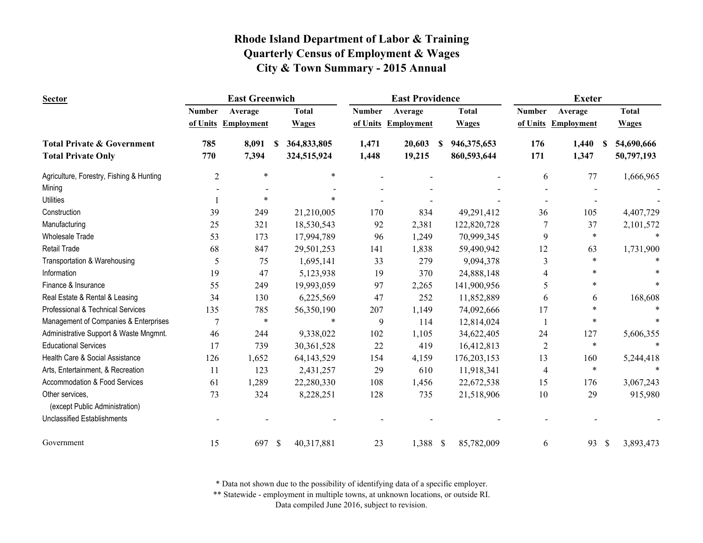| <b>Sector</b>                            |                | <b>East Greenwich</b> |                             |               | <b>East Providence</b> |                  |                | <b>Exeter</b>       |                        |
|------------------------------------------|----------------|-----------------------|-----------------------------|---------------|------------------------|------------------|----------------|---------------------|------------------------|
|                                          | <b>Number</b>  | Average               | <b>Total</b>                | <b>Number</b> | Average                | <b>Total</b>     | <b>Number</b>  | Average             | <b>Total</b>           |
|                                          |                | of Units Employment   | <b>Wages</b>                | of Units      | <b>Employment</b>      | <b>Wages</b>     |                | of Units Employment | <b>Wages</b>           |
| <b>Total Private &amp; Government</b>    | 785            | 8,091                 | 364,833,805<br>S            | 1,471         | 20,603                 | 946,375,653<br>S | 176            | 1,440               | 54,690,666<br><b>S</b> |
| <b>Total Private Only</b>                | 770            | 7,394                 | 324,515,924                 | 1,448         | 19,215                 | 860,593,644      | 171            | 1,347               | 50,797,193             |
| Agriculture, Forestry, Fishing & Hunting | $\overline{2}$ | $\ast$                | $\ast$                      |               |                        |                  | 6              | 77                  | 1,666,965              |
| Mining                                   |                |                       |                             |               |                        |                  |                |                     |                        |
| <b>Utilities</b>                         |                | $\ast$                |                             |               |                        |                  |                |                     |                        |
| Construction                             | 39             | 249                   | 21,210,005                  | 170           | 834                    | 49,291,412       | 36             | 105                 | 4,407,729              |
| Manufacturing                            | 25             | 321                   | 18,530,543                  | 92            | 2,381                  | 122,820,728      | 7              | 37                  | 2,101,572              |
| <b>Wholesale Trade</b>                   | 53             | 173                   | 17,994,789                  | 96            | 1,249                  | 70,999,345       | 9              | ∗                   |                        |
| <b>Retail Trade</b>                      | 68             | 847                   | 29,501,253                  | 141           | 1,838                  | 59,490,942       | 12             | 63                  | 1,731,900              |
| Transportation & Warehousing             | 5              | 75                    | 1,695,141                   | 33            | 279                    | 9,094,378        | 3              | $\ast$              |                        |
| Information                              | 19             | 47                    | 5,123,938                   | 19            | 370                    | 24,888,148       | 4              | *                   |                        |
| Finance & Insurance                      | 55             | 249                   | 19,993,059                  | 97            | 2,265                  | 141,900,956      | 5              | *                   |                        |
| Real Estate & Rental & Leasing           | 34             | 130                   | 6,225,569                   | 47            | 252                    | 11,852,889       | 6              | 6                   | 168,608                |
| Professional & Technical Services        | 135            | 785                   | 56,350,190                  | 207           | 1,149                  | 74,092,666       | 17             | *                   |                        |
| Management of Companies & Enterprises    | $\overline{7}$ | $\ast$                | $\ast$                      | 9             | 114                    | 12,814,024       |                | $\ast$              |                        |
| Administrative Support & Waste Mngmnt.   | 46             | 244                   | 9,338,022                   | 102           | 1,105                  | 34,622,405       | 24             | 127                 | 5,606,355              |
| <b>Educational Services</b>              | 17             | 739                   | 30,361,528                  | 22            | 419                    | 16,412,813       | $\overline{2}$ | $\ast$              | $\ast$                 |
| Health Care & Social Assistance          | 126            | 1,652                 | 64, 143, 529                | 154           | 4,159                  | 176,203,153      | 13             | 160                 | 5,244,418              |
| Arts, Entertainment, & Recreation        | 11             | 123                   | 2,431,257                   | 29            | 610                    | 11,918,341       | 4              | $\ast$              | $\ast$                 |
| Accommodation & Food Services            | 61             | 1,289                 | 22,280,330                  | 108           | 1,456                  | 22,672,538       | 15             | 176                 | 3,067,243              |
| Other services,                          | 73             | 324                   | 8,228,251                   | 128           | 735                    | 21,518,906       | 10             | 29                  | 915,980                |
| (except Public Administration)           |                |                       |                             |               |                        |                  |                |                     |                        |
| <b>Unclassified Establishments</b>       |                |                       |                             |               |                        |                  |                |                     |                        |
| Government                               | 15             | 697                   | $\mathcal{S}$<br>40,317,881 | 23            | 1,388 \$               | 85,782,009       | 6              | 93                  | 3,893,473<br>\$        |

\* Data not shown due to the possibility of identifying data of a specific employer.

\*\* Statewide - employment in multiple towns, at unknown locations, or outside RI.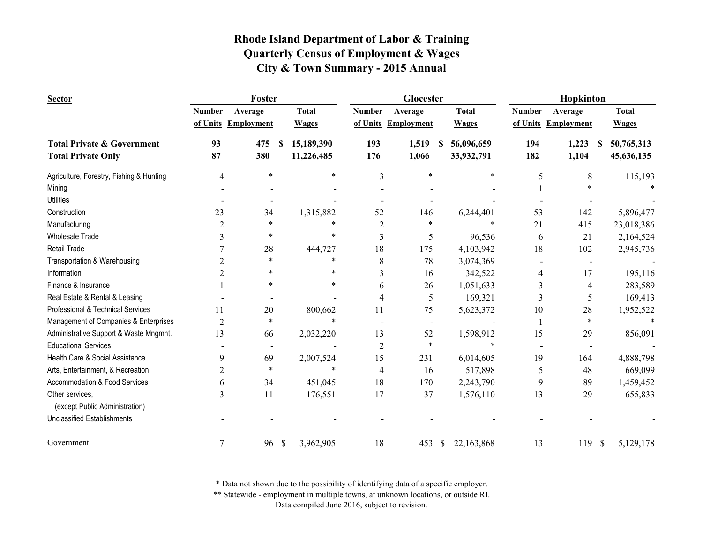| <b>Sector</b>                            |                | Foster              |               |              |                | Glocester           |    |              |               | Hopkinton           |              |              |
|------------------------------------------|----------------|---------------------|---------------|--------------|----------------|---------------------|----|--------------|---------------|---------------------|--------------|--------------|
|                                          | <b>Number</b>  | Average             |               | <b>Total</b> | <b>Number</b>  | Average             |    | <b>Total</b> | <b>Number</b> | Average             |              | <b>Total</b> |
|                                          |                | of Units Employment |               | <b>Wages</b> |                | of Units Employment |    | <b>Wages</b> |               | of Units Employment |              | <b>Wages</b> |
| <b>Total Private &amp; Government</b>    | 93             | 475                 | S             | 15,189,390   | 193            | 1,519               | S. | 56,096,659   | 194           | 1,223               | -S           | 50,765,313   |
| <b>Total Private Only</b>                | 87             | 380                 |               | 11,226,485   | 176            | 1,066               |    | 33,932,791   | 182           | 1,104               |              | 45,636,135   |
| Agriculture, Forestry, Fishing & Hunting | 4              | $\ast$              |               | $\ast$       | 3              | $\ast$              |    | $\ast$       | 5             | 8                   |              | 115,193      |
| Mining                                   |                |                     |               |              |                |                     |    |              |               |                     |              |              |
| <b>Utilities</b>                         |                |                     |               |              |                |                     |    |              |               |                     |              |              |
| Construction                             | 23             | 34                  |               | 1,315,882    | 52             | 146                 |    | 6,244,401    | 53            | 142                 |              | 5,896,477    |
| Manufacturing                            | 2              | $\ast$              |               | $\ast$       | $\overline{c}$ | *                   |    | $\ast$       | 21            | 415                 |              | 23,018,386   |
| <b>Wholesale Trade</b>                   | 3              | $\ast$              |               | $\ast$       | 3              | 5                   |    | 96,536       | 6             | 21                  |              | 2,164,524    |
| <b>Retail Trade</b>                      |                | 28                  |               | 444,727      | 18             | 175                 |    | 4,103,942    | 18            | 102                 |              | 2,945,736    |
| Transportation & Warehousing             | 2              | $\ast$              |               | $\ast$       | 8              | 78                  |    | 3,074,369    |               |                     |              |              |
| Information                              | 2              | *                   |               | $\ast$       | 3              | 16                  |    | 342,522      | 4             | 17                  |              | 195,116      |
| Finance & Insurance                      |                | *                   |               | $\ast$       | 6              | 26                  |    | 1,051,633    | 3             | 4                   |              | 283,589      |
| Real Estate & Rental & Leasing           |                |                     |               |              | 4              | 5                   |    | 169,321      | 3             | 5                   |              | 169,413      |
| Professional & Technical Services        | 11             | 20                  |               | 800,662      | 11             | 75                  |    | 5,623,372    | 10            | 28                  |              | 1,952,522    |
| Management of Companies & Enterprises    | $\overline{2}$ | $\ast$              |               | $\ast$       |                |                     |    |              |               | $\ast$              |              |              |
| Administrative Support & Waste Mngmnt.   | 13             | 66                  |               | 2,032,220    | 13             | 52                  |    | 1,598,912    | 15            | 29                  |              | 856,091      |
| <b>Educational Services</b>              |                |                     |               |              | $\overline{c}$ | $\ast$              |    | $\ast$       |               |                     |              |              |
| Health Care & Social Assistance          | 9              | 69                  |               | 2,007,524    | 15             | 231                 |    | 6,014,605    | 19            | 164                 |              | 4,888,798    |
| Arts, Entertainment, & Recreation        | $\overline{c}$ | $\ast$              |               | $\ast$       | 4              | 16                  |    | 517,898      | 5             | 48                  |              | 669,099      |
| Accommodation & Food Services            | 6              | 34                  |               | 451,045      | 18             | 170                 |    | 2,243,790    | 9             | 89                  |              | 1,459,452    |
| Other services,                          | 3              | 11                  |               | 176,551      | 17             | 37                  |    | 1,576,110    | 13            | 29                  |              | 655,833      |
| (except Public Administration)           |                |                     |               |              |                |                     |    |              |               |                     |              |              |
| <b>Unclassified Establishments</b>       |                |                     |               |              |                |                     |    |              |               |                     |              |              |
| Government                               | $\overline{7}$ | 96                  | $\mathcal{S}$ | 3,962,905    | 18             | 453                 | \$ | 22,163,868   | 13            | 119                 | $\mathbb{S}$ | 5,129,178    |

\* Data not shown due to the possibility of identifying data of a specific employer.

\*\* Statewide - employment in multiple towns, at unknown locations, or outside RI.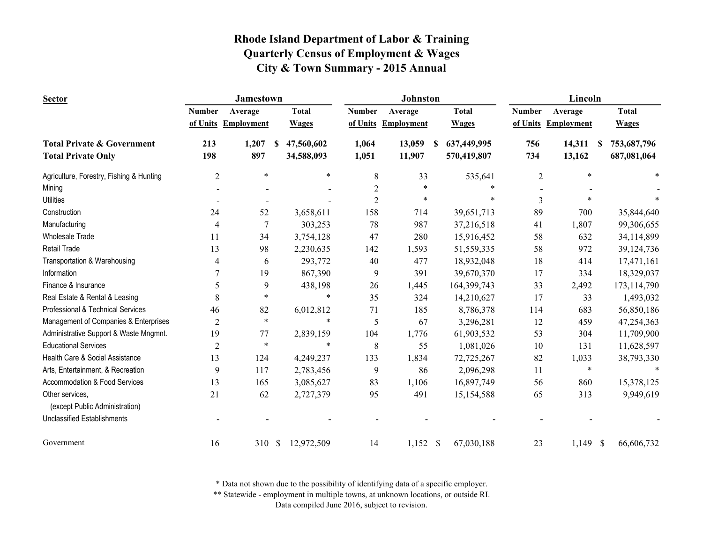| <b>Sector</b>                                     |                | <b>Jamestown</b>     |              |                | Johnston          |                  |                | Lincoln                |               |
|---------------------------------------------------|----------------|----------------------|--------------|----------------|-------------------|------------------|----------------|------------------------|---------------|
|                                                   | <b>Number</b>  | Average              | <b>Total</b> | <b>Number</b>  | Average           | <b>Total</b>     | <b>Number</b>  | Average                | <b>Total</b>  |
|                                                   |                | of Units Employment  | <b>Wages</b> | of Units       | <b>Employment</b> | <b>Wages</b>     |                | of Units Employment    | <b>Wages</b>  |
| <b>Total Private &amp; Government</b>             | 213            | 1,207<br>S           | 47,560,602   | 1,064          | 13,059            | 637,449,995<br>S | 756            | 14,311<br><b>S</b>     | 753,687,796   |
| <b>Total Private Only</b>                         | 198            | 897                  | 34,588,093   | 1,051          | 11,907            | 570,419,807      | 734            | 13,162                 | 687,081,064   |
| Agriculture, Forestry, Fishing & Hunting          | $\overline{2}$ | $\ast$               | $\ast$       | 8              | 33                | 535,641          | $\overline{2}$ | $\ast$                 |               |
| Mining                                            |                |                      |              | $\overline{2}$ | $\ast$            | $\ast$           |                |                        |               |
| <b>Utilities</b>                                  |                |                      |              | $\overline{2}$ | *                 | $\ast$           | 3              |                        |               |
| Construction                                      | 24             | 52                   | 3,658,611    | 158            | 714               | 39,651,713       | 89             | 700                    | 35,844,640    |
| Manufacturing                                     | 4              | 7                    | 303,253      | 78             | 987               | 37,216,518       | 41             | 1,807                  | 99,306,655    |
| <b>Wholesale Trade</b>                            | 11             | 34                   | 3,754,128    | 47             | 280               | 15,916,452       | 58             | 632                    | 34,114,899    |
| Retail Trade                                      | 13             | 98                   | 2,230,635    | 142            | 1,593             | 51,559,335       | 58             | 972                    | 39, 124, 736  |
| Transportation & Warehousing                      | 4              | 6                    | 293,772      | 40             | 477               | 18,932,048       | 18             | 414                    | 17,471,161    |
| Information                                       | 7              | 19                   | 867,390      | 9              | 391               | 39,670,370       | 17             | 334                    | 18,329,037    |
| Finance & Insurance                               | 5              | 9                    | 438,198      | 26             | 1,445             | 164,399,743      | 33             | 2,492                  | 173, 114, 790 |
| Real Estate & Rental & Leasing                    | 8              | *                    | $\ast$       | 35             | 324               | 14,210,627       | 17             | 33                     | 1,493,032     |
| Professional & Technical Services                 | 46             | 82                   | 6,012,812    | 71             | 185               | 8,786,378        | 114            | 683                    | 56,850,186    |
| Management of Companies & Enterprises             | $\overline{c}$ | $\ast$               | $\ast$       | 5              | 67                | 3,296,281        | 12             | 459                    | 47,254,363    |
| Administrative Support & Waste Mngmnt.            | 19             | 77                   | 2,839,159    | 104            | 1,776             | 61,903,532       | 53             | 304                    | 11,709,900    |
| <b>Educational Services</b>                       | $\overline{2}$ | $\ast$               | $\ast$       | 8              | 55                | 1,081,026        | 10             | 131                    | 11,628,597    |
| Health Care & Social Assistance                   | 13             | 124                  | 4,249,237    | 133            | 1,834             | 72,725,267       | 82             | 1,033                  | 38,793,330    |
| Arts, Entertainment, & Recreation                 | 9              | 117                  | 2,783,456    | 9              | 86                | 2,096,298        | 11             | $\ast$                 | $\ast$        |
| Accommodation & Food Services                     | 13             | 165                  | 3,085,627    | 83             | 1,106             | 16,897,749       | 56             | 860                    | 15,378,125    |
| Other services,<br>(except Public Administration) | 21             | 62                   | 2,727,379    | 95             | 491               | 15,154,588       | 65             | 313                    | 9,949,619     |
| <b>Unclassified Establishments</b>                |                |                      |              |                |                   |                  |                |                        |               |
| Government                                        | 16             | $\mathcal{S}$<br>310 | 12,972,509   | 14             | $1,152$ \$        | 67,030,188       | 23             | 1,149<br>$\mathcal{S}$ | 66,606,732    |

\* Data not shown due to the possibility of identifying data of a specific employer.

\*\* Statewide - employment in multiple towns, at unknown locations, or outside RI.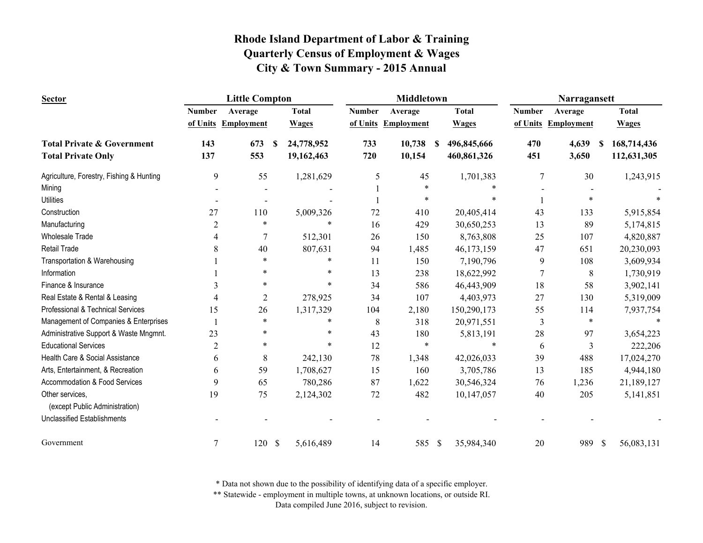| <b>Sector</b>                                     |                | <b>Little Compton</b> |               |              |               | <b>Middletown</b>   |   |              |                | Narragansett         |              |
|---------------------------------------------------|----------------|-----------------------|---------------|--------------|---------------|---------------------|---|--------------|----------------|----------------------|--------------|
|                                                   | <b>Number</b>  | Average               |               | <b>Total</b> | <b>Number</b> | Average             |   | <b>Total</b> | <b>Number</b>  | Average              | <b>Total</b> |
|                                                   |                | of Units Employment   |               | <b>Wages</b> |               | of Units Employment |   | <b>Wages</b> |                | of Units Employment  | <b>Wages</b> |
| <b>Total Private &amp; Government</b>             | 143            | 673                   | -S            | 24,778,952   | 733           | 10,738              | S | 496,845,666  | 470            | 4,639<br><b>S</b>    | 168,714,436  |
| <b>Total Private Only</b>                         | 137            | 553                   |               | 19,162,463   | 720           | 10,154              |   | 460,861,326  | 451            | 3,650                | 112,631,305  |
| Agriculture, Forestry, Fishing & Hunting          | 9              | 55                    |               | 1,281,629    | 5             | 45                  |   | 1,701,383    | $\overline{7}$ | 30                   | 1,243,915    |
| Mining                                            |                |                       |               |              |               | $\ast$              |   |              |                |                      |              |
| <b>Utilities</b>                                  |                |                       |               |              |               | $\ast$              |   |              |                |                      |              |
| Construction                                      | 27             | 110                   |               | 5,009,326    | 72            | 410                 |   | 20,405,414   | 43             | 133                  | 5,915,854    |
| Manufacturing                                     | $\overline{2}$ | $\ast$                |               | $\ast$       | 16            | 429                 |   | 30,650,253   | 13             | 89                   | 5,174,815    |
| <b>Wholesale Trade</b>                            | 4              |                       |               | 512,301      | 26            | 150                 |   | 8,763,808    | 25             | 107                  | 4,820,887    |
| <b>Retail Trade</b>                               | 8              | 40                    |               | 807,631      | 94            | 1,485               |   | 46,173,159   | 47             | 651                  | 20,230,093   |
| Transportation & Warehousing                      |                |                       |               |              | 11            | 150                 |   | 7,190,796    | 9              | 108                  | 3,609,934    |
| Information                                       |                | $\ast$                |               | $\ast$       | 13            | 238                 |   | 18,622,992   | 7              | 8                    | 1,730,919    |
| Finance & Insurance                               | 3              | ∗                     |               | $\ast$       | 34            | 586                 |   | 46,443,909   | 18             | 58                   | 3,902,141    |
| Real Estate & Rental & Leasing                    | 4              | $\overline{2}$        |               | 278,925      | 34            | 107                 |   | 4,403,973    | 27             | 130                  | 5,319,009    |
| Professional & Technical Services                 | 15             | 26                    |               | 1,317,329    | 104           | 2,180               |   | 150,290,173  | 55             | 114                  | 7,937,754    |
| Management of Companies & Enterprises             |                | $\ast$                |               | $\ast$       | 8             | 318                 |   | 20,971,551   | 3              | $\ast$               |              |
| Administrative Support & Waste Mngmnt.            | 23             | *                     |               | ∗            | 43            | 180                 |   | 5,813,191    | 28             | 97                   | 3,654,223    |
| <b>Educational Services</b>                       | $\overline{2}$ | $\ast$                |               | $\ast$       | 12            | $\ast$              |   | $\ast$       | 6              | 3                    | 222,206      |
| Health Care & Social Assistance                   | 6              | 8                     |               | 242,130      | 78            | 1,348               |   | 42,026,033   | 39             | 488                  | 17,024,270   |
| Arts, Entertainment, & Recreation                 | 6              | 59                    |               | 1,708,627    | 15            | 160                 |   | 3,705,786    | 13             | 185                  | 4,944,180    |
| Accommodation & Food Services                     | 9              | 65                    |               | 780,286      | 87            | 1,622               |   | 30,546,324   | 76             | 1,236                | 21,189,127   |
| Other services,<br>(except Public Administration) | 19             | 75                    |               | 2,124,302    | $72\,$        | 482                 |   | 10,147,057   | 40             | 205                  | 5,141,851    |
| <b>Unclassified Establishments</b>                |                |                       |               |              |               |                     |   |              |                |                      |              |
| Government                                        | 7              | 120                   | $\mathcal{S}$ | 5,616,489    | 14            | 585 \$              |   | 35,984,340   | 20             | 989<br>$\mathcal{S}$ | 56,083,131   |

\* Data not shown due to the possibility of identifying data of a specific employer.

\*\* Statewide - employment in multiple towns, at unknown locations, or outside RI.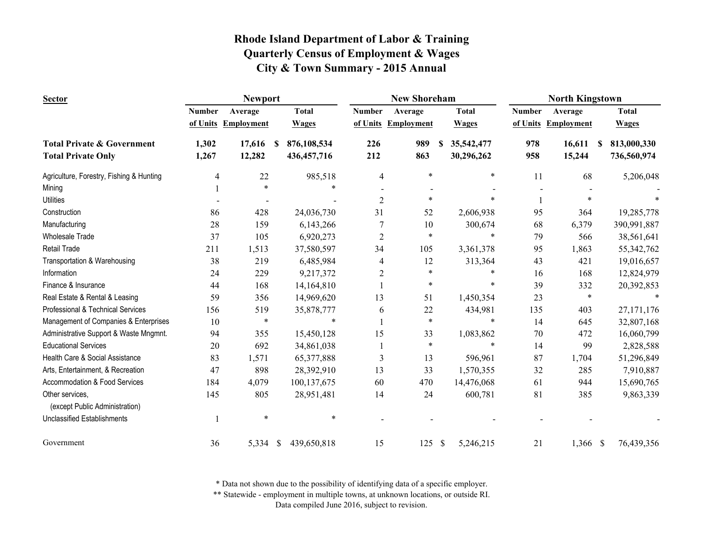| <b>Sector</b>                                     |               | <b>Newport</b>      |                              |                | <b>New Shoreham</b> |                 |               | <b>North Kingstown</b> |                              |
|---------------------------------------------------|---------------|---------------------|------------------------------|----------------|---------------------|-----------------|---------------|------------------------|------------------------------|
|                                                   | <b>Number</b> | Average             | <b>Total</b>                 | <b>Number</b>  | Average             | <b>Total</b>    | <b>Number</b> | Average                | <b>Total</b>                 |
|                                                   |               | of Units Employment | <b>Wages</b>                 | of Units       | <b>Employment</b>   | <b>Wages</b>    | of Units      | <b>Employment</b>      | <b>Wages</b>                 |
| <b>Total Private &amp; Government</b>             | 1,302         | 17,616              | 876,108,534<br><sup>\$</sup> | 226            | 989                 | 35,542,477<br>S | 978           | 16,611                 | 813,000,330<br><sup>\$</sup> |
| <b>Total Private Only</b>                         | 1,267         | 12,282              | 436, 457, 716                | 212            | 863                 | 30,296,262      | 958           | 15,244                 | 736,560,974                  |
| Agriculture, Forestry, Fishing & Hunting          | 4             | 22                  | 985,518                      | 4              | $\ast$              | $\ast$          | 11            | 68                     | 5,206,048                    |
| Mining                                            |               | $\ast$              | $\ast$                       |                |                     |                 |               |                        |                              |
| <b>Utilities</b>                                  |               |                     |                              | $\overline{c}$ | $\ast$              |                 |               |                        |                              |
| Construction                                      | 86            | 428                 | 24,036,730                   | 31             | 52                  | 2,606,938       | 95            | 364                    | 19,285,778                   |
| Manufacturing                                     | 28            | 159                 | 6,143,266                    |                | 10                  | 300,674         | 68            | 6,379                  | 390,991,887                  |
| <b>Wholesale Trade</b>                            | 37            | 105                 | 6,920,273                    | $\mathfrak{2}$ | $\ast$              | $\ast$          | 79            | 566                    | 38,561,641                   |
| <b>Retail Trade</b>                               | 211           | 1,513               | 37,580,597                   | 34             | 105                 | 3,361,378       | 95            | 1,863                  | 55, 342, 762                 |
| Transportation & Warehousing                      | 38            | 219                 | 6,485,984                    | 4              | 12                  | 313,364         | 43            | 421                    | 19,016,657                   |
| Information                                       | 24            | 229                 | 9,217,372                    | 2              | $\ast$              | *               | 16            | 168                    | 12,824,979                   |
| Finance & Insurance                               | 44            | 168                 | 14,164,810                   |                | $\ast$              | $\ast$          | 39            | 332                    | 20,392,853                   |
| Real Estate & Rental & Leasing                    | 59            | 356                 | 14,969,620                   | 13             | 51                  | 1,450,354       | 23            | $\ast$                 |                              |
| Professional & Technical Services                 | 156           | 519                 | 35,878,777                   | 6              | 22                  | 434,981         | 135           | 403                    | 27, 171, 176                 |
| Management of Companies & Enterprises             | 10            | $\ast$              | $\ast$                       |                | $\ast$              | $\ast$          | 14            | 645                    | 32,807,168                   |
| Administrative Support & Waste Mngmnt.            | 94            | 355                 | 15,450,128                   | 15             | 33                  | 1,083,862       | 70            | 472                    | 16,060,799                   |
| <b>Educational Services</b>                       | 20            | 692                 | 34,861,038                   |                | $\ast$              | $\ast$          | 14            | 99                     | 2,828,588                    |
| Health Care & Social Assistance                   | 83            | 1,571               | 65,377,888                   | 3              | 13                  | 596,961         | 87            | 1,704                  | 51,296,849                   |
| Arts, Entertainment, & Recreation                 | 47            | 898                 | 28,392,910                   | 13             | 33                  | 1,570,355       | 32            | 285                    | 7,910,887                    |
| Accommodation & Food Services                     | 184           | 4,079               | 100,137,675                  | 60             | 470                 | 14,476,068      | 61            | 944                    | 15,690,765                   |
| Other services,<br>(except Public Administration) | 145           | 805                 | 28,951,481                   | 14             | 24                  | 600,781         | 81            | 385                    | 9,863,339                    |
| <b>Unclassified Establishments</b>                |               | *                   | $\ast$                       |                |                     |                 |               |                        |                              |
| Government                                        | 36            | 5,334               | <sup>\$</sup><br>439,650,818 | 15             | 125                 | \$<br>5,246,215 | 21            | $1,366$ \$             | 76,439,356                   |

\* Data not shown due to the possibility of identifying data of a specific employer.

\*\* Statewide - employment in multiple towns, at unknown locations, or outside RI.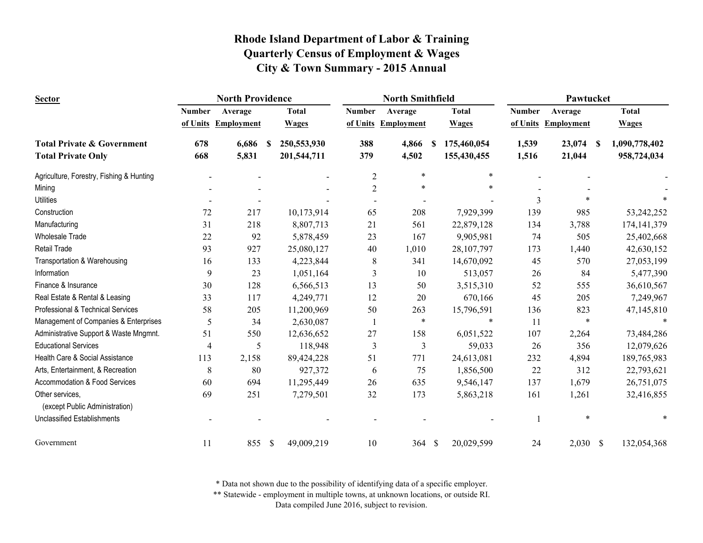| <b>Sector</b>                                     |                | <b>North Providence</b> |               |              | <b>North Smithfield</b> |                   |              |              | Pawtucket     |                   |          |               |
|---------------------------------------------------|----------------|-------------------------|---------------|--------------|-------------------------|-------------------|--------------|--------------|---------------|-------------------|----------|---------------|
|                                                   | <b>Number</b>  | Average                 |               | <b>Total</b> | <b>Number</b>           | Average           |              | <b>Total</b> | <b>Number</b> | Average           |          | <b>Total</b>  |
|                                                   | of Units       | <b>Employment</b>       |               | <b>Wages</b> | of Units                | <b>Employment</b> |              | <b>Wages</b> | of Units      | <b>Employment</b> |          | <b>Wages</b>  |
| <b>Total Private &amp; Government</b>             | 678            | 6,686                   | -S            | 250,553,930  | 388                     | 4,866             | S            | 175,460,054  | 1,539         | 23,074            | <b>S</b> | 1,090,778,402 |
| <b>Total Private Only</b>                         | 668            | 5,831                   |               | 201,544,711  | 379                     | 4,502             |              | 155,430,455  | 1,516         | 21,044            |          | 958,724,034   |
| Agriculture, Forestry, Fishing & Hunting          |                |                         |               |              | $\mathfrak{2}$          | $\ast$            |              | $\ast$       |               |                   |          |               |
| Mining                                            |                |                         |               |              | $\overline{2}$          | $\ast$            |              | $\ast$       |               |                   |          |               |
| <b>Utilities</b>                                  |                |                         |               |              |                         |                   |              |              | 3             | $\ast$            |          |               |
| Construction                                      | 72             | 217                     |               | 10,173,914   | 65                      | 208               |              | 7,929,399    | 139           | 985               |          | 53,242,252    |
| Manufacturing                                     | 31             | 218                     |               | 8,807,713    | 21                      | 561               |              | 22,879,128   | 134           | 3,788             |          | 174, 141, 379 |
| <b>Wholesale Trade</b>                            | 22             | 92                      |               | 5,878,459    | 23                      | 167               |              | 9,905,981    | 74            | 505               |          | 25,402,668    |
| Retail Trade                                      | 93             | 927                     |               | 25,080,127   | 40                      | 1,010             |              | 28,107,797   | 173           | 1,440             |          | 42,630,152    |
| Transportation & Warehousing                      | 16             | 133                     |               | 4,223,844    | 8                       | 341               |              | 14,670,092   | 45            | 570               |          | 27,053,199    |
| Information                                       | 9              | 23                      |               | 1,051,164    | 3                       | 10                |              | 513,057      | 26            | 84                |          | 5,477,390     |
| Finance & Insurance                               | 30             | 128                     |               | 6,566,513    | 13                      | 50                |              | 3,515,310    | 52            | 555               |          | 36,610,567    |
| Real Estate & Rental & Leasing                    | 33             | 117                     |               | 4,249,771    | 12                      | 20                |              | 670,166      | 45            | 205               |          | 7,249,967     |
| Professional & Technical Services                 | 58             | 205                     |               | 11,200,969   | 50                      | 263               |              | 15,796,591   | 136           | 823               |          | 47,145,810    |
| Management of Companies & Enterprises             | 5              | 34                      |               | 2,630,087    |                         | $\ast$            |              | $\ast$       | 11            | $\ast$            |          |               |
| Administrative Support & Waste Mngmnt.            | 51             | 550                     |               | 12,636,652   | 27                      | 158               |              | 6,051,522    | 107           | 2,264             |          | 73,484,286    |
| <b>Educational Services</b>                       | $\overline{4}$ | 5                       |               | 118,948      | 3                       | 3                 |              | 59,033       | 26            | 356               |          | 12,079,626    |
| Health Care & Social Assistance                   | 113            | 2,158                   |               | 89,424,228   | 51                      | 771               |              | 24,613,081   | 232           | 4,894             |          | 189,765,983   |
| Arts, Entertainment, & Recreation                 | 8              | 80                      |               | 927,372      | 6                       | 75                |              | 1,856,500    | 22            | 312               |          | 22,793,621    |
| Accommodation & Food Services                     | 60             | 694                     |               | 11,295,449   | 26                      | 635               |              | 9,546,147    | 137           | 1,679             |          | 26,751,075    |
| Other services,<br>(except Public Administration) | 69             | 251                     |               | 7,279,501    | 32                      | 173               |              | 5,863,218    | 161           | 1,261             |          | 32,416,855    |
| <b>Unclassified Establishments</b>                |                |                         |               |              |                         |                   |              |              |               | *                 |          |               |
| Government                                        | 11             | 855                     | $\mathcal{S}$ | 49,009,219   | 10                      | 364               | $\mathbb{S}$ | 20,029,599   | 24            | $2,030$ \$        |          | 132,054,368   |

\* Data not shown due to the possibility of identifying data of a specific employer.

\*\* Statewide - employment in multiple towns, at unknown locations, or outside RI.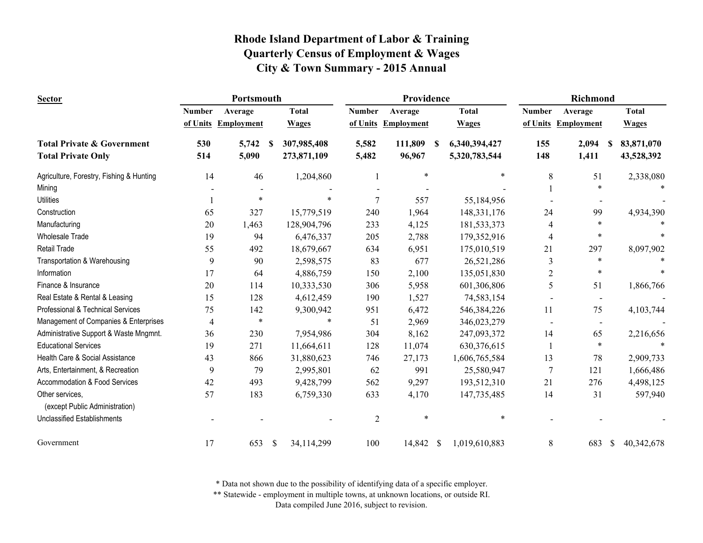| <b>Sector</b>                                     |                | Portsmouth        |    |              |               | Providence          |    |               |                | Richmond            |    |              |
|---------------------------------------------------|----------------|-------------------|----|--------------|---------------|---------------------|----|---------------|----------------|---------------------|----|--------------|
|                                                   | <b>Number</b>  | Average           |    | <b>Total</b> | <b>Number</b> | Average             |    | <b>Total</b>  | <b>Number</b>  | Average             |    | <b>Total</b> |
|                                                   | of Units       | <b>Employment</b> |    | <b>Wages</b> |               | of Units Employment |    | <b>Wages</b>  |                | of Units Employment |    | <b>Wages</b> |
| <b>Total Private &amp; Government</b>             | 530            | 5,742             | -S | 307,985,408  | 5,582         | 111,809             | -S | 6,340,394,427 | 155            | 2,094               | -S | 83,871,070   |
| <b>Total Private Only</b>                         | 514            | 5,090             |    | 273,871,109  | 5,482         | 96,967              |    | 5,320,783,544 | 148            | 1,411               |    | 43,528,392   |
| Agriculture, Forestry, Fishing & Hunting          | 14             | 46                |    | 1,204,860    | 1             | $\ast$              |    | $\ast$        | 8              | 51                  |    | 2,338,080    |
| Mining                                            |                |                   |    |              |               |                     |    |               |                | $\ast$              |    |              |
| <b>Utilities</b>                                  |                | $\ast$            |    | $\ast$       | 7             | 557                 |    | 55,184,956    |                |                     |    |              |
| Construction                                      | 65             | 327               |    | 15,779,519   | 240           | 1,964               |    | 148, 331, 176 | 24             | 99                  |    | 4,934,390    |
| Manufacturing                                     | 20             | 1,463             |    | 128,904,796  | 233           | 4,125               |    | 181,533,373   | 4              | *                   |    |              |
| <b>Wholesale Trade</b>                            | 19             | 94                |    | 6,476,337    | 205           | 2,788               |    | 179,352,916   | 4              | *                   |    |              |
| Retail Trade                                      | 55             | 492               |    | 18,679,667   | 634           | 6,951               |    | 175,010,519   | 21             | 297                 |    | 8,097,902    |
| Transportation & Warehousing                      | 9              | 90                |    | 2,598,575    | 83            | 677                 |    | 26,521,286    | 3              | *                   |    |              |
| Information                                       | 17             | 64                |    | 4,886,759    | 150           | 2,100               |    | 135,051,830   | 2              | $\ast$              |    |              |
| Finance & Insurance                               | 20             | 114               |    | 10,333,530   | 306           | 5,958               |    | 601,306,806   | 5              | 51                  |    | 1,866,766    |
| Real Estate & Rental & Leasing                    | 15             | 128               |    | 4,612,459    | 190           | 1,527               |    | 74,583,154    |                |                     |    |              |
| Professional & Technical Services                 | 75             | 142               |    | 9,300,942    | 951           | 6,472               |    | 546,384,226   | 11             | 75                  |    | 4,103,744    |
| Management of Companies & Enterprises             | $\overline{4}$ | $\ast$            |    | $\ast$       | 51            | 2,969               |    | 346,023,279   |                | $\,$ $\,$           |    |              |
| Administrative Support & Waste Mngmnt.            | 36             | 230               |    | 7,954,986    | 304           | 8,162               |    | 247,093,372   | 14             | 65                  |    | 2,216,656    |
| <b>Educational Services</b>                       | 19             | 271               |    | 11,664,611   | 128           | 11,074              |    | 630,376,615   |                | $\ast$              |    |              |
| Health Care & Social Assistance                   | 43             | 866               |    | 31,880,623   | 746           | 27,173              |    | 1,606,765,584 | 13             | 78                  |    | 2,909,733    |
| Arts, Entertainment, & Recreation                 | 9              | 79                |    | 2,995,801    | 62            | 991                 |    | 25,580,947    | $\overline{7}$ | 121                 |    | 1,666,486    |
| Accommodation & Food Services                     | 42             | 493               |    | 9,428,799    | 562           | 9,297               |    | 193,512,310   | 21             | 276                 |    | 4,498,125    |
| Other services,<br>(except Public Administration) | 57             | 183               |    | 6,759,330    | 633           | 4,170               |    | 147,735,485   | 14             | 31                  |    | 597,940      |
| <b>Unclassified Establishments</b>                |                |                   |    |              | $\sqrt{2}$    | $\ast$              |    | $\ast$        |                |                     |    |              |
| Government                                        | 17             | 653               | \$ | 34,114,299   | 100           | 14,842 \$           |    | 1,019,610,883 | 8              | 683                 | \$ | 40,342,678   |

\* Data not shown due to the possibility of identifying data of a specific employer.

\*\* Statewide - employment in multiple towns, at unknown locations, or outside RI.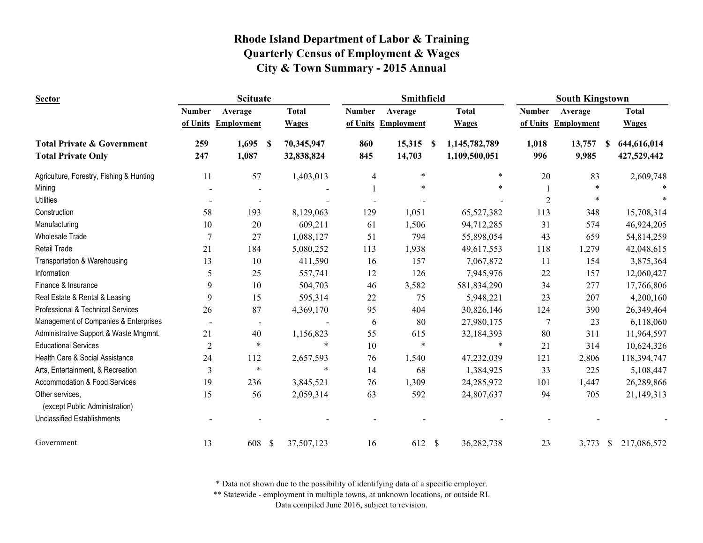| <b>Sector</b>                                     | <b>Scituate</b> |                          |                             |               | Smithfield          |                            | <b>South Kingstown</b> |                     |                     |  |
|---------------------------------------------------|-----------------|--------------------------|-----------------------------|---------------|---------------------|----------------------------|------------------------|---------------------|---------------------|--|
|                                                   | <b>Number</b>   | Average                  | <b>Total</b>                | <b>Number</b> | Average             | <b>Total</b>               | <b>Number</b>          | Average             | <b>Total</b>        |  |
|                                                   | of Units        | <b>Employment</b>        | <b>Wages</b>                |               | of Units Employment | <b>Wages</b>               |                        | of Units Employment | <b>Wages</b>        |  |
| <b>Total Private &amp; Government</b>             | 259             | 1,695                    | 70,345,947<br>-S            | 860           | 15,315              | 1,145,782,789<br>S         | 1,018                  | 13,757              | 644,616,014<br>S    |  |
| <b>Total Private Only</b>                         | 247             | 1,087                    | 32,838,824                  | 845           | 14,703              | 1,109,500,051              | 996                    | 9,985               | 427,529,442         |  |
| Agriculture, Forestry, Fishing & Hunting          | 11              | 57                       | 1,403,013                   | 4             | $\ast$              | $\ast$                     | 20                     | 83                  | 2,609,748           |  |
| Mining                                            |                 |                          |                             |               |                     |                            |                        | $\ast$              |                     |  |
| <b>Utilities</b>                                  |                 |                          |                             |               |                     |                            | $\overline{2}$         |                     |                     |  |
| Construction                                      | 58              | 193                      | 8,129,063                   | 129           | 1,051               | 65,527,382                 | 113                    | 348                 | 15,708,314          |  |
| Manufacturing                                     | 10              | 20                       | 609,211                     | 61            | 1,506               | 94,712,285                 | 31                     | 574                 | 46,924,205          |  |
| <b>Wholesale Trade</b>                            | $\overline{7}$  | 27                       | 1,088,127                   | 51            | 794                 | 55,898,054                 | 43                     | 659                 | 54,814,259          |  |
| Retail Trade                                      | 21              | 184                      | 5,080,252                   | 113           | 1,938               | 49,617,553                 | 118                    | 1,279               | 42,048,615          |  |
| Transportation & Warehousing                      | 13              | 10                       | 411,590                     | 16            | 157                 | 7,067,872                  | 11                     | 154                 | 3,875,364           |  |
| Information                                       | 5               | 25                       | 557,741                     | 12            | 126                 | 7,945,976                  | 22                     | 157                 | 12,060,427          |  |
| Finance & Insurance                               | 9               | 10                       | 504,703                     | 46            | 3,582               | 581,834,290                | 34                     | 277                 | 17,766,806          |  |
| Real Estate & Rental & Leasing                    | 9               | 15                       | 595,314                     | 22            | 75                  | 5,948,221                  | 23                     | 207                 | 4,200,160           |  |
| Professional & Technical Services                 | 26              | 87                       | 4,369,170                   | 95            | 404                 | 30,826,146                 | 124                    | 390                 | 26,349,464          |  |
| Management of Companies & Enterprises             |                 | $\overline{\phantom{a}}$ |                             | 6             | 80                  | 27,980,175                 | 7                      | 23                  | 6,118,060           |  |
| Administrative Support & Waste Mngmnt.            | 21              | 40                       | 1,156,823                   | 55            | 615                 | 32,184,393                 | 80                     | 311                 | 11,964,597          |  |
| <b>Educational Services</b>                       | $\overline{2}$  | $\ast$                   | $\ast$                      | 10            | $\ast$              | $\ast$                     | 21                     | 314                 | 10,624,326          |  |
| Health Care & Social Assistance                   | 24              | 112                      | 2,657,593                   | 76            | 1,540               | 47,232,039                 | 121                    | 2,806               | 118,394,747         |  |
| Arts, Entertainment, & Recreation                 | 3               | $\ast$                   | $\ast$                      | 14            | 68                  | 1,384,925                  | 33                     | 225                 | 5,108,447           |  |
| <b>Accommodation &amp; Food Services</b>          | 19              | 236                      | 3,845,521                   | 76            | 1,309               | 24,285,972                 | 101                    | 1,447               | 26,289,866          |  |
| Other services,<br>(except Public Administration) | 15              | 56                       | 2,059,314                   | 63            | 592                 | 24,807,637                 | 94                     | 705                 | 21,149,313          |  |
|                                                   |                 |                          |                             |               |                     |                            |                        |                     |                     |  |
| <b>Unclassified Establishments</b>                |                 |                          |                             |               |                     |                            |                        |                     |                     |  |
| Government                                        | 13              | 608                      | $\mathcal{S}$<br>37,507,123 | 16            | 612                 | $\mathbb{S}$<br>36,282,738 | 23                     | 3,773               | - \$<br>217,086,572 |  |

\* Data not shown due to the possibility of identifying data of a specific employer.

\*\* Statewide - employment in multiple towns, at unknown locations, or outside RI.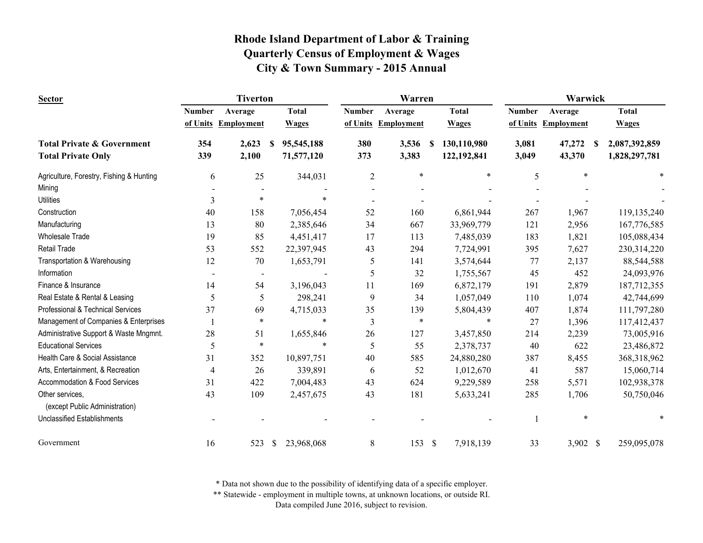| <b>Sector</b>                                     |               | <b>Tiverton</b>   |                  |               | Warren            |                            | Warwick       |                     |               |  |
|---------------------------------------------------|---------------|-------------------|------------------|---------------|-------------------|----------------------------|---------------|---------------------|---------------|--|
|                                                   | <b>Number</b> | Average           | <b>Total</b>     | <b>Number</b> | Average           | <b>Total</b>               | <b>Number</b> | Average             | <b>Total</b>  |  |
|                                                   | of Units      | <b>Employment</b> | <b>Wages</b>     | of Units      | <b>Employment</b> | <b>Wages</b>               |               | of Units Employment | <b>Wages</b>  |  |
| <b>Total Private &amp; Government</b>             | 354           | 2,623             | 95,545,188<br>-S | 380           | 3,536             | 130,110,980<br>-S          | 3,081         | 47,272<br>-S        | 2,087,392,859 |  |
| <b>Total Private Only</b>                         | 339           | 2,100             | 71,577,120       | 373           | 3,383             | 122,192,841                | 3,049         | 43,370              | 1,828,297,781 |  |
| Agriculture, Forestry, Fishing & Hunting          | 6             | 25                | 344,031          | 2             | $\ast$            | $\ast$                     | 5             | $\ast$              |               |  |
| Mining                                            |               |                   |                  |               |                   |                            |               |                     |               |  |
| <b>Utilities</b>                                  | 3             | $\ast$            |                  |               |                   |                            |               |                     |               |  |
| Construction                                      | 40            | 158               | 7,056,454        | 52            | 160               | 6,861,944                  | 267           | 1,967               | 119,135,240   |  |
| Manufacturing                                     | 13            | 80                | 2,385,646        | 34            | 667               | 33,969,779                 | 121           | 2,956               | 167,776,585   |  |
| <b>Wholesale Trade</b>                            | 19            | 85                | 4,451,417        | 17            | 113               | 7,485,039                  | 183           | 1,821               | 105,088,434   |  |
| <b>Retail Trade</b>                               | 53            | 552               | 22,397,945       | 43            | 294               | 7,724,991                  | 395           | 7,627               | 230,314,220   |  |
| Transportation & Warehousing                      | 12            | 70                | 1,653,791        | 5             | 141               | 3,574,644                  | 77            | 2,137               | 88,544,588    |  |
| Information                                       |               |                   |                  | 5             | 32                | 1,755,567                  | 45            | 452                 | 24,093,976    |  |
| Finance & Insurance                               | 14            | 54                | 3,196,043        | 11            | 169               | 6,872,179                  | 191           | 2,879               | 187,712,355   |  |
| Real Estate & Rental & Leasing                    | 5             | 5                 | 298,241          | 9             | 34                | 1,057,049                  | 110           | 1,074               | 42,744,699    |  |
| Professional & Technical Services                 | 37            | 69                | 4,715,033        | 35            | 139               | 5,804,439                  | 407           | 1,874               | 111,797,280   |  |
| Management of Companies & Enterprises             |               | $\ast$            | $\ast$           | 3             | $\ast$            | $\ast$                     | 27            | 1,396               | 117,412,437   |  |
| Administrative Support & Waste Mngmnt.            | 28            | 51                | 1,655,846        | 26            | 127               | 3,457,850                  | 214           | 2,239               | 73,005,916    |  |
| <b>Educational Services</b>                       | 5             | $\ast$            | $\ast$           | 5             | 55                | 2,378,737                  | 40            | 622                 | 23,486,872    |  |
| Health Care & Social Assistance                   | 31            | 352               | 10,897,751       | 40            | 585               | 24,880,280                 | 387           | 8,455               | 368,318,962   |  |
| Arts, Entertainment, & Recreation                 | 4             | 26                | 339,891          | 6             | 52                | 1,012,670                  | 41            | 587                 | 15,060,714    |  |
| Accommodation & Food Services                     | 31            | 422               | 7,004,483        | 43            | 624               | 9,229,589                  | 258           | 5,571               | 102,938,378   |  |
| Other services,<br>(except Public Administration) | 43            | 109               | 2,457,675        | 43            | 181               | 5,633,241                  | 285           | 1,706               | 50,750,046    |  |
| <b>Unclassified Establishments</b>                |               |                   |                  |               |                   |                            |               | $\ast$              |               |  |
| Government                                        | 16            | 523               | 23,968,068<br>\$ | 8             | 153               | $\mathcal{S}$<br>7,918,139 | 33            | 3,902 \$            | 259,095,078   |  |

\* Data not shown due to the possibility of identifying data of a specific employer.

\*\* Statewide - employment in multiple towns, at unknown locations, or outside RI.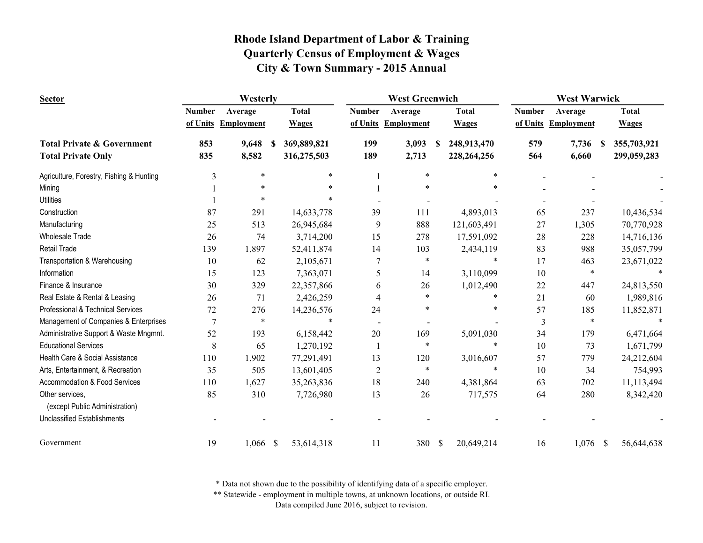| <b>Sector</b>                                     | Westerly       |                     |              |              |                | <b>West Greenwich</b> |   | <b>West Warwick</b> |               |             |              |              |
|---------------------------------------------------|----------------|---------------------|--------------|--------------|----------------|-----------------------|---|---------------------|---------------|-------------|--------------|--------------|
|                                                   | <b>Number</b>  | Average             |              | <b>Total</b> | <b>Number</b>  | Average               |   | <b>Total</b>        | <b>Number</b> | Average     |              | <b>Total</b> |
|                                                   |                | of Units Employment |              | <b>Wages</b> | of Units       | <b>Employment</b>     |   | <b>Wages</b>        | of Units      | Employment  |              | <b>Wages</b> |
| <b>Total Private &amp; Government</b>             | 853            | 9,648               | S            | 369,889,821  | 199            | 3,093                 | S | 248,913,470         | 579           | 7,736<br>S. |              | 355,703,921  |
| <b>Total Private Only</b>                         | 835            | 8,582               |              | 316,275,503  | 189            | 2,713                 |   | 228, 264, 256       | 564           | 6,660       |              | 299,059,283  |
| Agriculture, Forestry, Fishing & Hunting          | 3              | $\ast$              |              | $\ast$       |                | $\ast$                |   | $\ast$              |               |             |              |              |
| Mining                                            |                |                     |              |              |                |                       |   |                     |               |             |              |              |
| <b>Utilities</b>                                  |                |                     |              |              |                |                       |   |                     |               |             |              |              |
| Construction                                      | 87             | 291                 |              | 14,633,778   | 39             | 111                   |   | 4,893,013           | 65            | 237         |              | 10,436,534   |
| Manufacturing                                     | 25             | 513                 |              | 26,945,684   | 9              | 888                   |   | 121,603,491         | 27            | 1,305       |              | 70,770,928   |
| <b>Wholesale Trade</b>                            | 26             | 74                  |              | 3,714,200    | 15             | 278                   |   | 17,591,092          | 28            | 228         |              | 14,716,136   |
| <b>Retail Trade</b>                               | 139            | 1,897               |              | 52,411,874   | 14             | 103                   |   | 2,434,119           | 83            | 988         |              | 35,057,799   |
| Transportation & Warehousing                      | 10             | 62                  |              | 2,105,671    |                | *                     |   | $\ast$              | 17            | 463         |              | 23,671,022   |
| Information                                       | 15             | 123                 |              | 7,363,071    | 5              | 14                    |   | 3,110,099           | 10            | $\ast$      |              |              |
| Finance & Insurance                               | 30             | 329                 |              | 22,357,866   | 6              | 26                    |   | 1,012,490           | 22            | 447         |              | 24,813,550   |
| Real Estate & Rental & Leasing                    | 26             | 71                  |              | 2,426,259    | 4              | $\ast$                |   | $\ast$              | 21            | 60          |              | 1,989,816    |
| Professional & Technical Services                 | 72             | 276                 |              | 14,236,576   | 24             |                       |   | $\ast$              | 57            | 185         |              | 11,852,871   |
| Management of Companies & Enterprises             | $\overline{7}$ | $\ast$              |              | $\ast$       |                |                       |   |                     | 3             | $\ast$      |              |              |
| Administrative Support & Waste Mngmnt.            | 52             | 193                 |              | 6,158,442    | 20             | 169                   |   | 5,091,030           | 34            | 179         |              | 6,471,664    |
| <b>Educational Services</b>                       | 8              | 65                  |              | 1,270,192    |                | *                     |   | $\ast$              | 10            | 73          |              | 1,671,799    |
| Health Care & Social Assistance                   | 110            | 1,902               |              | 77,291,491   | 13             | 120                   |   | 3,016,607           | 57            | 779         |              | 24,212,604   |
| Arts, Entertainment, & Recreation                 | 35             | 505                 |              | 13,601,405   | $\overline{2}$ | $\ast$                |   | $\ast$              | 10            | 34          |              | 754,993      |
| Accommodation & Food Services                     | 110            | 1,627               |              | 35,263,836   | 18             | 240                   |   | 4,381,864           | 63            | 702         |              | 11,113,494   |
| Other services,<br>(except Public Administration) | 85             | 310                 |              | 7,726,980    | 13             | 26                    |   | 717,575             | 64            | 280         |              | 8,342,420    |
| <b>Unclassified Establishments</b>                |                |                     |              |              |                |                       |   |                     |               |             |              |              |
| Government                                        | 19             | 1,066               | $\mathbb{S}$ | 53,614,318   | 11             | 380 \$                |   | 20,649,214          | 16            | 1,076       | <sup>S</sup> | 56,644,638   |

\* Data not shown due to the possibility of identifying data of a specific employer.

\*\* Statewide - employment in multiple towns, at unknown locations, or outside RI.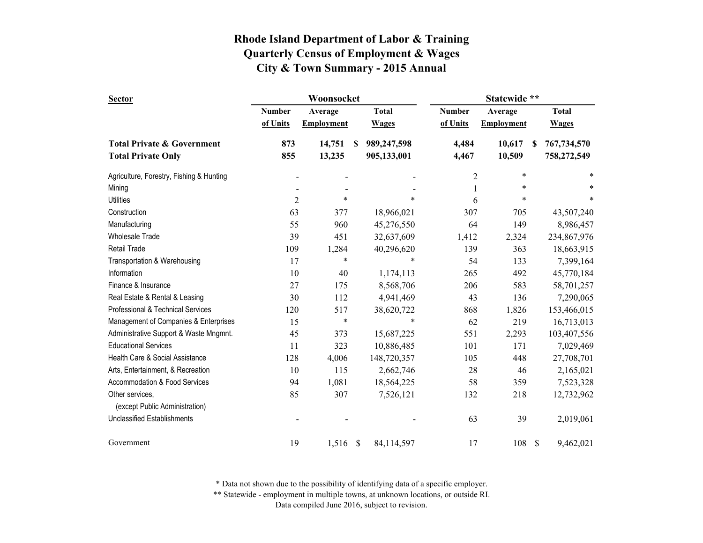| <b>Sector</b>                            |                | Woonsocket        |               |              | Statewide **   |                   |              |              |
|------------------------------------------|----------------|-------------------|---------------|--------------|----------------|-------------------|--------------|--------------|
|                                          | Number         | Average           |               | <b>Total</b> | <b>Number</b>  | Average           |              | <b>Total</b> |
|                                          | of Units       | <b>Employment</b> |               | <b>Wages</b> | of Units       | <b>Employment</b> |              | <b>Wages</b> |
| <b>Total Private &amp; Government</b>    | 873            | 14,751            | <sup>\$</sup> | 989,247,598  | 4,484          | 10,617            | S            | 767,734,570  |
| <b>Total Private Only</b>                | 855            | 13,235            |               | 905,133,001  | 4,467          | 10,509            |              | 758,272,549  |
| Agriculture, Forestry, Fishing & Hunting |                |                   |               |              | $\overline{c}$ | $\ast$            |              | *            |
| Mining                                   |                |                   |               |              | $\mathbf{1}$   | *                 |              | *            |
| <b>Utilities</b>                         | $\overline{2}$ | $\ast$            |               | $\ast$       | 6              | $\ast$            |              | $\ast$       |
| Construction                             | 63             | 377               |               | 18,966,021   | 307            | 705               |              | 43,507,240   |
| Manufacturing                            | 55             | 960               |               | 45,276,550   | 64             | 149               |              | 8,986,457    |
| <b>Wholesale Trade</b>                   | 39             | 451               |               | 32,637,609   | 1,412          | 2,324             |              | 234,867,976  |
| <b>Retail Trade</b>                      | 109            | 1,284             |               | 40,296,620   | 139            | 363               |              | 18,663,915   |
| Transportation & Warehousing             | 17             | ∗                 |               | $\ast$       | 54             | 133               |              | 7,399,164    |
| Information                              | 10             | 40                |               | 1,174,113    | 265            | 492               |              | 45,770,184   |
| Finance & Insurance                      | 27             | 175               |               | 8,568,706    | 206            | 583               |              | 58,701,257   |
| Real Estate & Rental & Leasing           | 30             | 112               |               | 4,941,469    | 43             | 136               |              | 7,290,065    |
| Professional & Technical Services        | 120            | 517               |               | 38,620,722   | 868            | 1,826             |              | 153,466,015  |
| Management of Companies & Enterprises    | 15             | $\ast$            |               | $\ast$       | 62             | 219               |              | 16,713,013   |
| Administrative Support & Waste Mngmnt.   | 45             | 373               |               | 15,687,225   | 551            | 2,293             |              | 103,407,556  |
| <b>Educational Services</b>              | 11             | 323               |               | 10,886,485   | 101            | 171               |              | 7,029,469    |
| Health Care & Social Assistance          | 128            | 4,006             |               | 148,720,357  | 105            | 448               |              | 27,708,701   |
| Arts, Entertainment, & Recreation        | 10             | 115               |               | 2,662,746    | 28             | 46                |              | 2,165,021    |
| Accommodation & Food Services            | 94             | 1,081             |               | 18,564,225   | 58             | 359               |              | 7,523,328    |
| Other services,                          | 85             | 307               |               | 7,526,121    | 132            | 218               |              | 12,732,962   |
| (except Public Administration)           |                |                   |               |              |                |                   |              |              |
| <b>Unclassified Establishments</b>       |                |                   |               |              | 63             | 39                |              | 2,019,061    |
| Government                               | 19             | 1,516             | \$            | 84,114,597   | 17             | 108               | $\mathbb{S}$ | 9,462,021    |

\* Data not shown due to the possibility of identifying data of a specific employer.

\*\* Statewide - employment in multiple towns, at unknown locations, or outside RI.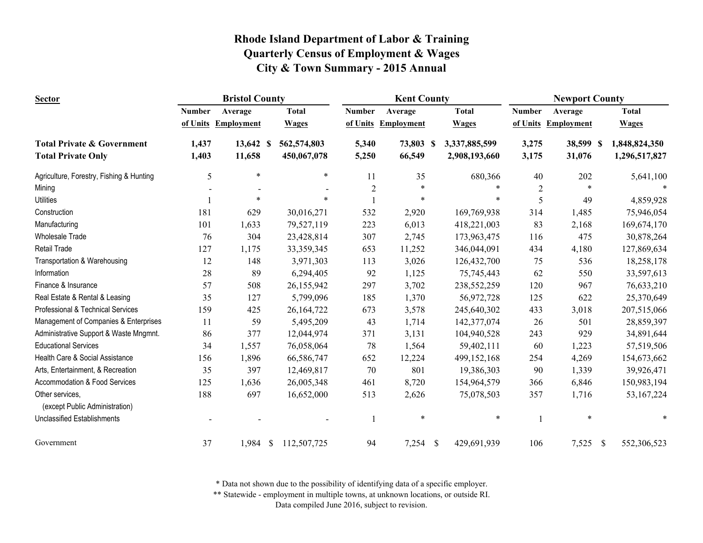| <b>Sector</b>                                     | <b>Bristol County</b> |                   |              |                | <b>Kent County</b> |                             | <b>Newport County</b> |                   |                              |  |
|---------------------------------------------------|-----------------------|-------------------|--------------|----------------|--------------------|-----------------------------|-----------------------|-------------------|------------------------------|--|
|                                                   | <b>Number</b>         | Average           | <b>Total</b> | <b>Number</b>  | Average            | <b>Total</b>                | <b>Number</b>         | Average           | <b>Total</b>                 |  |
|                                                   | of Units              | <b>Employment</b> | <b>Wages</b> | of Units       | <b>Employment</b>  | <b>Wages</b>                | of Units              | <b>Employment</b> | <b>Wages</b>                 |  |
| <b>Total Private &amp; Government</b>             | 1,437                 | 13,642 \$         | 562,574,803  | 5,340          | 73,803             | 3,337,885,599<br>-S         | 3,275                 | 38,599 \$         | 1,848,824,350                |  |
| <b>Total Private Only</b>                         | 1,403                 | 11,658            | 450,067,078  | 5,250          | 66,549             | 2,908,193,660               | 3,175                 | 31,076            | 1,296,517,827                |  |
| Agriculture, Forestry, Fishing & Hunting          | 5                     | $\ast$            | $\ast$       | 11             | 35                 | 680,366                     | 40                    | 202               | 5,641,100                    |  |
| Mining                                            |                       |                   |              | $\overline{2}$ | $\ast$             |                             | $\boldsymbol{2}$      | $\ast$            |                              |  |
| <b>Utilities</b>                                  |                       | ∗                 |              |                | $\ast$             | *                           | 5                     | 49                | 4,859,928                    |  |
| Construction                                      | 181                   | 629               | 30,016,271   | 532            | 2,920              | 169,769,938                 | 314                   | 1,485             | 75,946,054                   |  |
| Manufacturing                                     | 101                   | 1,633             | 79,527,119   | 223            | 6,013              | 418,221,003                 | 83                    | 2,168             | 169,674,170                  |  |
| <b>Wholesale Trade</b>                            | 76                    | 304               | 23,428,814   | 307            | 2,745              | 173,963,475                 | 116                   | 475               | 30,878,264                   |  |
| <b>Retail Trade</b>                               | 127                   | 1,175             | 33,359,345   | 653            | 11,252             | 346,044,091                 | 434                   | 4,180             | 127,869,634                  |  |
| Transportation & Warehousing                      | 12                    | 148               | 3,971,303    | 113            | 3,026              | 126,432,700                 | 75                    | 536               | 18,258,178                   |  |
| Information                                       | 28                    | 89                | 6,294,405    | 92             | 1,125              | 75,745,443                  | 62                    | 550               | 33,597,613                   |  |
| Finance & Insurance                               | 57                    | 508               | 26,155,942   | 297            | 3,702              | 238,552,259                 | 120                   | 967               | 76,633,210                   |  |
| Real Estate & Rental & Leasing                    | 35                    | 127               | 5,799,096    | 185            | 1,370              | 56,972,728                  | 125                   | 622               | 25,370,649                   |  |
| Professional & Technical Services                 | 159                   | 425               | 26,164,722   | 673            | 3,578              | 245,640,302                 | 433                   | 3,018             | 207,515,066                  |  |
| Management of Companies & Enterprises             | 11                    | 59                | 5,495,209    | 43             | 1,714              | 142,377,074                 | 26                    | 501               | 28,859,397                   |  |
| Administrative Support & Waste Mngmnt.            | 86                    | 377               | 12,044,974   | 371            | 3,131              | 104,940,528                 | 243                   | 929               | 34,891,644                   |  |
| <b>Educational Services</b>                       | 34                    | 1,557             | 76,058,064   | 78             | 1,564              | 59,402,111                  | 60                    | 1,223             | 57,519,506                   |  |
| Health Care & Social Assistance                   | 156                   | 1,896             | 66,586,747   | 652            | 12,224             | 499,152,168                 | 254                   | 4,269             | 154,673,662                  |  |
| Arts, Entertainment, & Recreation                 | 35                    | 397               | 12,469,817   | 70             | 801                | 19,386,303                  | 90                    | 1,339             | 39,926,471                   |  |
| Accommodation & Food Services                     | 125                   | 1,636             | 26,005,348   | 461            | 8,720              | 154,964,579                 | 366                   | 6,846             | 150,983,194                  |  |
| Other services,<br>(except Public Administration) | 188                   | 697               | 16,652,000   | 513            | 2,626              | 75,078,503                  | 357                   | 1,716             | 53, 167, 224                 |  |
| <b>Unclassified Establishments</b>                |                       |                   |              |                | $\ast$             | $\ast$                      |                       | $\ast$            | $\ast$                       |  |
| Government                                        | 37                    | $1,984$ \$        | 112,507,725  | 94             | 7,254              | $\mathbb{S}$<br>429,691,939 | 106                   | 7,525             | $\mathcal{S}$<br>552,306,523 |  |

\* Data not shown due to the possibility of identifying data of a specific employer.

\*\* Statewide - employment in multiple towns, at unknown locations, or outside RI.